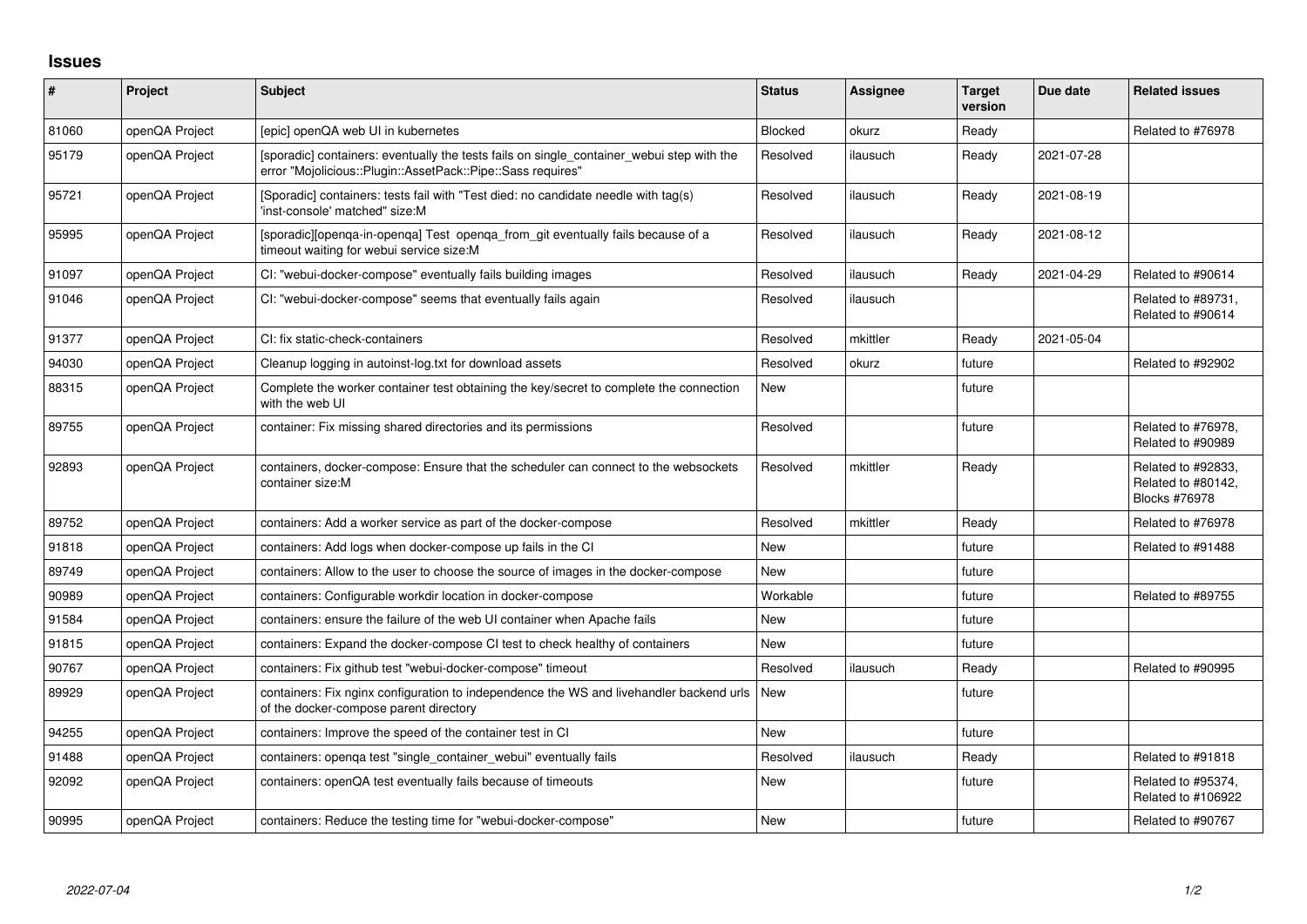## **Issues**

| #     | Project        | <b>Subject</b>                                                                                                                                           | <b>Status</b> | <b>Assignee</b> | <b>Target</b><br>version | Due date   | <b>Related issues</b>                                     |
|-------|----------------|----------------------------------------------------------------------------------------------------------------------------------------------------------|---------------|-----------------|--------------------------|------------|-----------------------------------------------------------|
| 81060 | openQA Project | [epic] openQA web UI in kubernetes                                                                                                                       | Blocked       | okurz           | Ready                    |            | Related to #76978                                         |
| 95179 | openQA Project | [sporadic] containers: eventually the tests fails on single_container_webui step with the<br>error "Mojolicious::Plugin::AssetPack::Pipe::Sass requires" | Resolved      | ilausuch        | Ready                    | 2021-07-28 |                                                           |
| 95721 | openQA Project | [Sporadic] containers: tests fail with "Test died: no candidate needle with tag(s)<br>'inst-console' matched" size:M                                     | Resolved      | ilausuch        | Ready                    | 2021-08-19 |                                                           |
| 95995 | openQA Project | [sporadic][openqa-in-openqa] Test openqa_from_git eventually fails because of a<br>timeout waiting for webui service size:M                              | Resolved      | ilausuch        | Ready                    | 2021-08-12 |                                                           |
| 91097 | openQA Project | CI: "webui-docker-compose" eventually fails building images                                                                                              | Resolved      | ilausuch        | Ready                    | 2021-04-29 | Related to #90614                                         |
| 91046 | openQA Project | CI: "webui-docker-compose" seems that eventually fails again                                                                                             | Resolved      | ilausuch        |                          |            | Related to #89731,<br>Related to #90614                   |
| 91377 | openQA Project | CI: fix static-check-containers                                                                                                                          | Resolved      | mkittler        | Ready                    | 2021-05-04 |                                                           |
| 94030 | openQA Project | Cleanup logging in autoinst-log.txt for download assets                                                                                                  | Resolved      | okurz           | future                   |            | Related to #92902                                         |
| 88315 | openQA Project | Complete the worker container test obtaining the key/secret to complete the connection<br>with the web UI                                                | <b>New</b>    |                 | future                   |            |                                                           |
| 89755 | openQA Project | container: Fix missing shared directories and its permissions                                                                                            | Resolved      |                 | future                   |            | Related to #76978,<br>Related to #90989                   |
| 92893 | openQA Project | containers, docker-compose: Ensure that the scheduler can connect to the websockets<br>container size:M                                                  | Resolved      | mkittler        | Ready                    |            | Related to #92833,<br>Related to #80142,<br>Blocks #76978 |
| 89752 | openQA Project | containers: Add a worker service as part of the docker-compose                                                                                           | Resolved      | mkittler        | Ready                    |            | Related to #76978                                         |
| 91818 | openQA Project | containers: Add logs when docker-compose up fails in the CI                                                                                              | <b>New</b>    |                 | future                   |            | Related to #91488                                         |
| 89749 | openQA Project | containers: Allow to the user to choose the source of images in the docker-compose                                                                       | <b>New</b>    |                 | future                   |            |                                                           |
| 90989 | openQA Project | containers: Configurable workdir location in docker-compose                                                                                              | Workable      |                 | future                   |            | Related to #89755                                         |
| 91584 | openQA Project | containers: ensure the failure of the web UI container when Apache fails                                                                                 | <b>New</b>    |                 | future                   |            |                                                           |
| 91815 | openQA Project | containers: Expand the docker-compose CI test to check healthy of containers                                                                             | <b>New</b>    |                 | future                   |            |                                                           |
| 90767 | openQA Project | containers: Fix github test "webui-docker-compose" timeout                                                                                               | Resolved      | ilausuch        | Ready                    |            | Related to #90995                                         |
| 89929 | openQA Project | containers: Fix nginx configuration to independence the WS and livehandler backend urls<br>of the docker-compose parent directory                        | New           |                 | future                   |            |                                                           |
| 94255 | openQA Project | containers: Improve the speed of the container test in CI                                                                                                | <b>New</b>    |                 | future                   |            |                                                           |
| 91488 | openQA Project | containers: openqa test "single_container_webui" eventually fails                                                                                        | Resolved      | ilausuch        | Ready                    |            | Related to #91818                                         |
| 92092 | openQA Project | containers: openQA test eventually fails because of timeouts                                                                                             | <b>New</b>    |                 | future                   |            | Related to #95374,<br>Related to #106922                  |
| 90995 | openQA Project | containers: Reduce the testing time for "webui-docker-compose"                                                                                           | New           |                 | future                   |            | Related to #90767                                         |